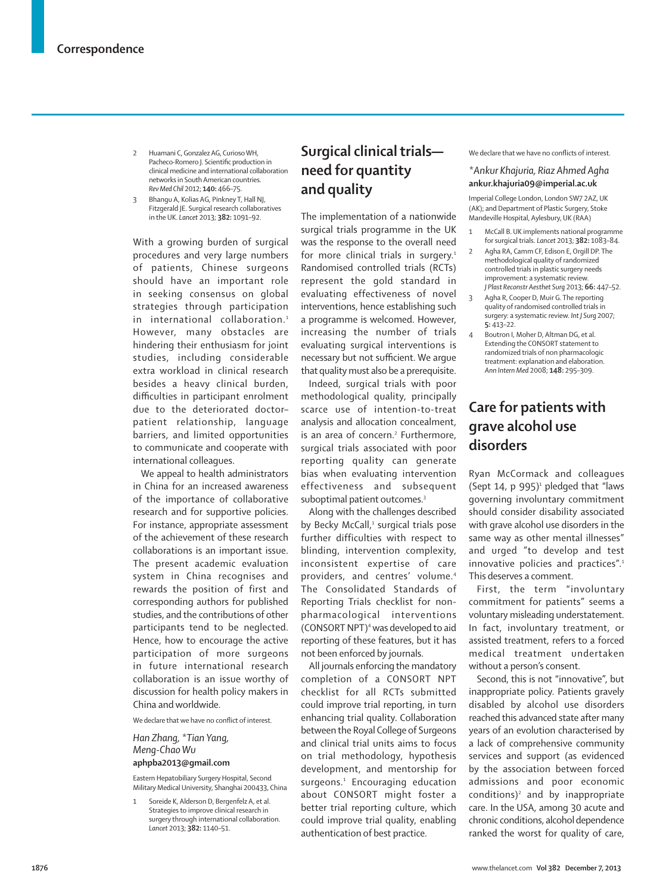- 2 Huamani C, Gonzalez AG, Curioso WH Pacheco-Romero J. Scientific production in clinical medicine and international collaboration networks in South American countries. *Rev Med Chil* 2012; **140:** 466–75.
- 3 Bhangu A, Kolias AG, Pinkney T, Hall NJ, Fitzgerald JE. Surgical research collaboratives in the UK. *Lancet* 2013; **382:** 1091–92.

With a growing burden of surgical procedures and very large numbers of patients, Chinese surgeons should have an important role in seeking consensus on global strategies through participation in international collaboration.<sup>1</sup> However, many obstacles are hindering their enthusiasm for joint studies, including considerable extra workload in clinical research besides a heavy clinical burden, difficulties in participant enrolment due to the deteriorated doctor– patient relationship, language barriers, and limited opportunities to communicate and cooperate with international colleagues.

We appeal to health administrators in China for an increased awareness of the importance of collaborative research and for supportive policies. For instance, appropriate assessment of the achievement of these research collaborations is an important issue. The present academic evaluation system in China recognises and rewards the position of first and corresponding authors for published studies, and the contributions of other participants tend to be neglected. Hence, how to encourage the active participation of more surgeons in future international research collaboration is an issue worthy of discussion for health policy makers in China and worldwide.

We declare that we have no conflict of interest.

#### *Han Zhang, \*Tian Yang, Meng-Chao Wu* **aphpba2013@gmail.com**

Eastern Hepatobiliary Surgery Hospital, Second Military Medical University, Shanghai 200433, China

Soreide K, Alderson D, Bergenfelz A, et al. Strategies to improve clinical research in surgery through international collaboration. *Lancet* 2013; **382:** 1140–51.

## **Surgical clinical trials need for quantity and quality**

The implementation of a nationwide surgical trials programme in the UK was the response to the overall need for more clinical trials in surgery.<sup>1</sup> Randomised controlled trials (RCTs) represent the gold standard in evaluating effectiveness of novel interventions, hence establishing such a programme is welcomed. However, increasing the number of trials evaluating surgical interventions is necessary but not sufficient. We arque that quality must also be a prerequisite.

Indeed, surgical trials with poor methodological quality, principally scarce use of intention-to-treat analysis and allocation concealment, is an area of concern.<sup>2</sup> Furthermore, surgical trials associated with poor reporting quality can generate bias when evaluating intervention effectiveness and subsequent suboptimal patient outcomes.<sup>3</sup>

Along with the challenges described by Becky McCall,<sup>1</sup> surgical trials pose further difficulties with respect to blinding, intervention complexity, inconsistent expertise of care providers, and centres' volume.<sup>4</sup> The Consolidated Standards of Reporting Trials checklist for nonpharmacological interventions (CONSORT NPT)4 was developed to aid reporting of these features, but it has not been enforced by journals.

All journals enforcing the mandatory completion of a CONSORT NPT checklist for all RCTs submitted could improve trial reporting, in turn enhancing trial quality. Collaboration between the Royal College of Surgeons and clinical trial units aims to focus on trial methodology, hypothesis development, and mentorship for surgeons.<sup>1</sup> Encouraging education about CONSORT might foster a better trial reporting culture, which could improve trial quality, enabling authentication of best practice.

We declare that we have no conflicts of interest.

## *\*Ankur Khajuria, Riaz Ahmed Agha*  **ankur.khajuria09@imperial.ac.uk**

Imperial College London, London SW7 2AZ, UK (AK); and Department of Plastic Surgery, Stoke Mandeville Hospital, Aylesbury, UK (RAA)

- McCall B. UK implements national programme for surgical trials. *Lancet* 2013; **382:** 1083–84.
- 2 Agha RA, Camm CF, Edison E, Orgill DP, The methodological quality of randomized controlled trials in plastic surgery needs improvement: a systematic review. *J Plast Reconstr Aesthet Surg* 2013; **66:** 447–52.
- 3 Agha R, Cooper D, Muir G. The reporting quality of randomised controlled trials in surgery: a systematic review. *Int J Surg* 2007; **5:** 413–22.
- 4 Boutron I, Moher D, Altman DG, et al. Extending the CONSORT statement to randomized trials of non pharmacologic treatment: explanation and elaboration. *Ann Intern Med* 2008; **148:** 295–309.

# **Care for patients with grave alcohol use disorders**

Ryan McCormack and colleagues  $(Sept 14, p 995)^1$  pledged that "laws governing involuntary commitment should consider disability associated with grave alcohol use disorders in the same way as other mental illnesses" and urged "to develop and test innovative policies and practices".<sup>1</sup> This deserves a comment.

First, the term "involuntary commitment for patients" seems a voluntary misleading understatement. In fact, involuntary treatment, or assisted treatment, refers to a forced medical treatment undertaken without a person's consent.

Second, this is not "innovative", but inappropriate policy. Patients gravely disabled by alcohol use disorders reached this advanced state after many years of an evolution characterised by a lack of comprehensive community services and support (as evidenced by the association between forced admissions and poor economic conditions)<sup>2</sup> and by inappropriate care. In the USA, among 30 acute and chronic conditions, alcohol dependence ranked the worst for quality of care,